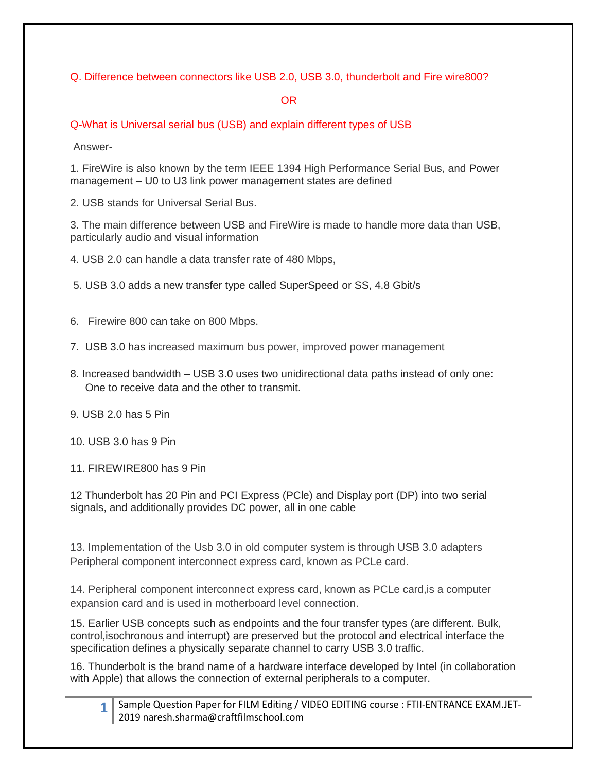Q. Difference between connectors like USB 2.0, USB 3.0, thunderbolt and Fire wire800?

OR

Q-What is Universal serial bus (USB) and explain different types of USB

Answer-

1. FireWire is also known by the term IEEE 1394 High Performance Serial Bus, and Power management – U0 to U3 link power management states are defined

2. USB stands for Universal Serial Bus.

3. The main difference between USB and FireWire is made to handle more data than USB, particularly audio and visual information

4. USB 2.0 can handle a data transfer rate of 480 Mbps,

5. USB 3.0 adds a new transfer type called SuperSpeed or SS, 4.8 Gbit/s

6. Firewire 800 can take on 800 Mbps.

7. USB 3.0 has increased maximum bus power, improved power management

- 8. Increased bandwidth USB 3.0 uses two unidirectional data paths instead of only one: One to receive data and the other to transmit.
- 9. USB 2.0 has 5 Pin
- 10. USB 3.0 has 9 Pin
- 11. FIREWIRE800 has 9 Pin

12 Thunderbolt has 20 Pin and PCI Express (PCle) and Display port (DP) into two serial signals, and additionally provides DC power, all in one cable

13. Implementation of the Usb 3.0 in old computer system is through USB 3.0 adapters Peripheral component interconnect express card, known as PCLe card.

14. Peripheral component interconnect express card, known as PCLe card,is a computer expansion card and is used in motherboard level connection.

15. Earlier USB concepts such as endpoints and the four transfer types (are different. Bulk, control,isochronous and interrupt) are preserved but the protocol and electrical interface the specification defines a physically separate channel to carry USB 3.0 traffic.

16. Thunderbolt is the brand name of a hardware interface developed by Intel (in collaboration with Apple) that allows the connection of external peripherals to a computer.

| 1   Sample Question Paper for FILM Editing / VIDEO EDITING course : FTII-ENTRANCE EXAM.JET- |
|---------------------------------------------------------------------------------------------|
| 2019 naresh.sharma@craftfilmschool.com                                                      |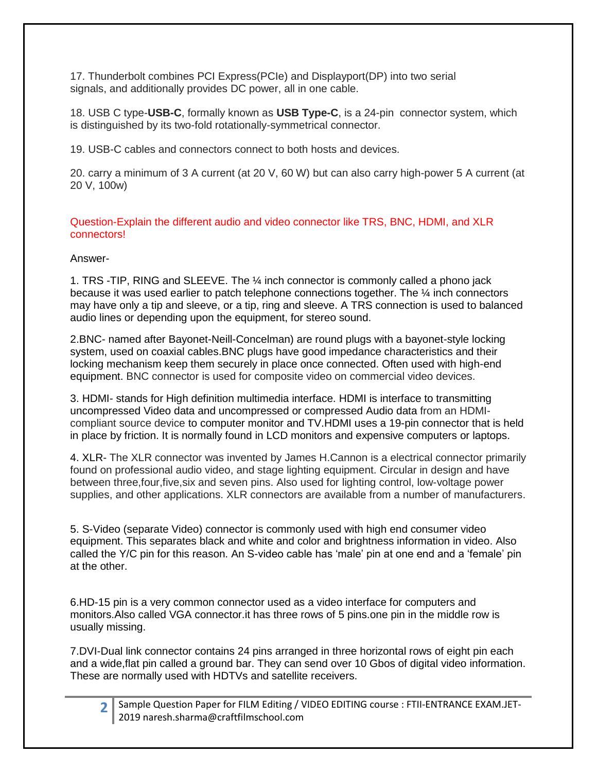17. Thunderbolt combines PCI Express(PCIe) and Displayport(DP) into two serial signals, and additionally provides DC power, all in one cable.

18. USB C type-**USB-C**, formally known as **USB Type-C**, is a 24-pin connector system, which is distinguished by its two-fold rotationally-symmetrical connector.

19. USB-C cables and connectors connect to both hosts and devices.

20. carry a minimum of 3 A current (at 20 V, 60 W) but can also carry high-power 5 A current (at 20 V, 100w)

Question-Explain the different audio and video connector like TRS, BNC, HDMI, and XLR connectors!

#### Answer-

1. TRS -TIP, RING and SLEEVE. The ¼ inch connector is commonly called a phono jack because it was used earlier to patch telephone connections together. The ¼ inch connectors may have only a tip and sleeve, or a tip, ring and sleeve. A TRS connection is used to balanced audio lines or depending upon the equipment, for stereo sound.

2.BNC- named after Bayonet-Neill-Concelman) are round plugs with a bayonet-style locking system, used on coaxial cables.BNC plugs have good impedance characteristics and their locking mechanism keep them securely in place once connected. Often used with high-end equipment. BNC connector is used for composite video on commercial video devices.

3. HDMI- stands for High definition multimedia interface. HDMI is interface to transmitting uncompressed Video data and uncompressed or compressed Audio data from an HDMIcompliant source device to computer monitor and TV.HDMI uses a 19-pin connector that is held in place by friction. It is normally found in LCD monitors and expensive computers or laptops.

4. XLR- The XLR connector was invented by James H.Cannon is a electrical connector primarily found on professional audio video, and stage lighting equipment. Circular in design and have between three,four,five,six and seven pins. Also used for lighting control, low-voltage power supplies, and other applications. XLR connectors are available from a number of manufacturers.

5. S-Video (separate Video) connector is commonly used with high end consumer video equipment. This separates black and white and color and brightness information in video. Also called the Y/C pin for this reason. An S-video cable has 'male' pin at one end and a 'female' pin at the other.

6.HD-15 pin is a very common connector used as a video interface for computers and monitors.Also called VGA connector.it has three rows of 5 pins.one pin in the middle row is usually missing.

7.DVI-Dual link connector contains 24 pins arranged in three horizontal rows of eight pin each and a wide,flat pin called a ground bar. They can send over 10 Gbos of digital video information. These are normally used with HDTVs and satellite receivers.

|  | > Sample Question Paper for FILM Editing / VIDEO EDITING course : FTII-ENTRANCE EXAM.JET- |
|--|-------------------------------------------------------------------------------------------|
|  | 2019 naresh.sharma@craftfilmschool.com                                                    |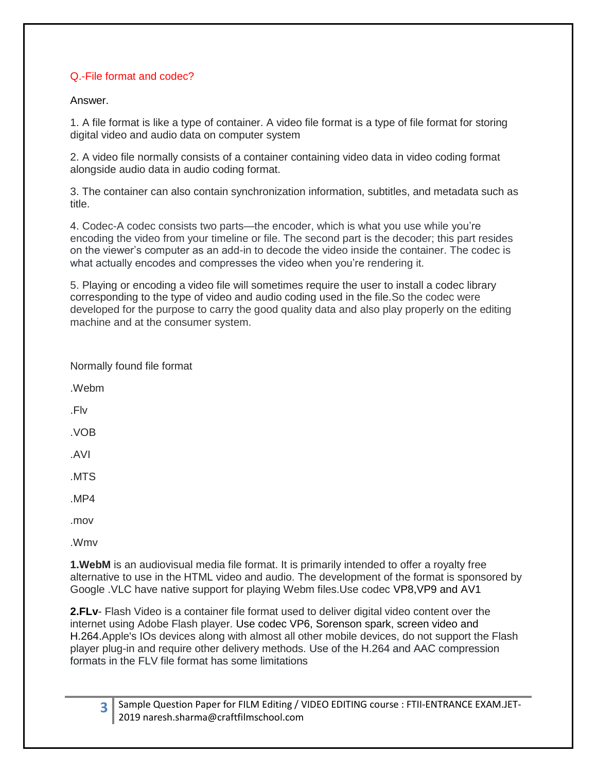# Q.-File format and codec?

#### Answer.

1. A file format is like a type of container. A video file format is a type of file format for storing digital video and audio data on computer system

2. A video file normally consists of a container containing video data in video coding format alongside audio data in audio coding format.

3. The container can also contain synchronization information, subtitles, and metadata such as title.

4. Codec-A codec consists two parts—the encoder, which is what you use while you're encoding the video from your timeline or file. The second part is the decoder; this part resides on the viewer's computer as an add-in to decode the video inside the container. The codec is what actually encodes and compresses the video when you're rendering it.

5. Playing or encoding a video file will sometimes require the user to install a codec library corresponding to the type of video and audio coding used in the file.So the codec were developed for the purpose to carry the good quality data and also play properly on the editing machine and at the consumer system.

**1.WebM** is an audiovisual media file format. It is primarily intended to offer a royalty free alternative to use in the HTML video and audio. The development of the format is sponsored by Google .VLC have native support for playing Webm files.Use codec VP8,VP9 and AV1

**2.FLv**- Flash Video is a container file format used to deliver digital video content over the internet using Adobe Flash player. Use codec VP6, Sorenson spark, screen video and H.264.Apple's IOs devices along with almost all other mobile devices, do not support the Flash player plug-in and require other delivery methods. Use of the H.264 and AAC compression formats in the FLV file format has some limitations

|  | 3 Sample Question Paper for FILM Editing / VIDEO EDITING course : FTII-ENTRANCE EXAM.JET- |
|--|-------------------------------------------------------------------------------------------|
|  | 2019 naresh.sharma@craftfilmschool.com                                                    |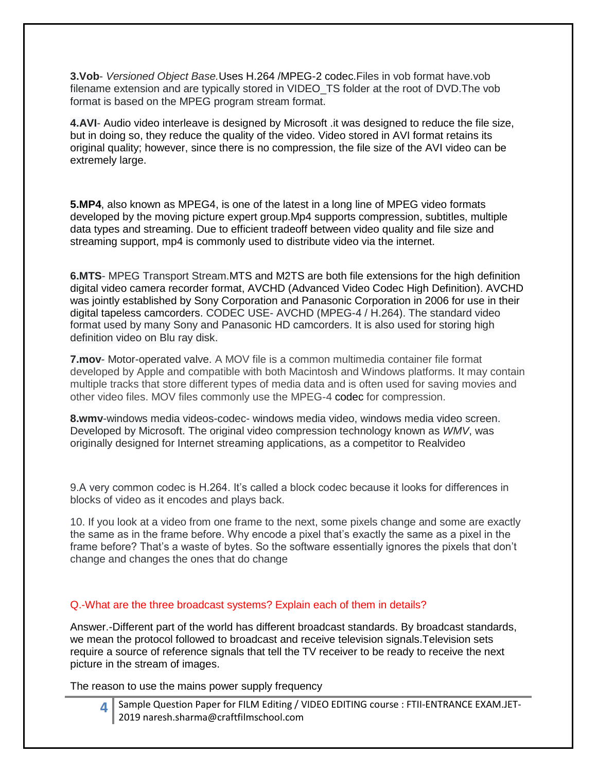**3.Vob**- *Versioned Object Base.*Uses H.264 /MPEG-2 codec.Files in vob format have.vob filename extension and are typically stored in VIDEO\_TS folder at the root of DVD.The vob format is based on the MPEG program stream format.

**4.AVI**- Audio video interleave is designed by Microsoft .it was designed to reduce the file size, but in doing so, they reduce the quality of the video. Video stored in AVI format retains its original quality; however, since there is no compression, the file size of the AVI video can be extremely large.

**5.MP4**, also known as MPEG4, is one of the latest in a long line of MPEG video formats developed by the moving picture expert group.Mp4 supports compression, subtitles, multiple data types and streaming. Due to efficient tradeoff between video quality and file size and streaming support, mp4 is commonly used to distribute video via the internet.

**6.MTS**- MPEG Transport Stream.MTS and M2TS are both file extensions for the high definition digital video camera recorder format, AVCHD (Advanced Video Codec High Definition). AVCHD was jointly established by Sony Corporation and Panasonic Corporation in 2006 for use in their digital tapeless camcorders. CODEC USE- AVCHD (MPEG-4 / H.264). The standard video format used by many Sony and Panasonic HD camcorders. It is also used for storing high definition video on Blu ray disk.

**7.mov**- Motor-operated valve. A MOV file is a common multimedia container file format developed by Apple and compatible with both Macintosh and Windows platforms. It may contain multiple tracks that store different types of media data and is often used for saving movies and other video files. MOV files commonly use the MPEG-4 codec for compression.

**8.wmv**-windows media videos-codec- windows media video, windows media video screen. Developed by Microsoft. The original video compression technology known as *WMV*, was originally designed for Internet streaming applications, as a competitor to Realvideo

9.A very common codec is H.264. It's called a block codec because it looks for differences in blocks of video as it encodes and plays back.

10. If you look at a video from one frame to the next, some pixels change and some are exactly the same as in the frame before. Why encode a pixel that's exactly the same as a pixel in the frame before? That's a waste of bytes. So the software essentially ignores the pixels that don't change and changes the ones that do change

#### Q.-What are the three broadcast systems? Explain each of them in details?

Answer.-Different part of the world has different broadcast standards. By broadcast standards, we mean the protocol followed to broadcast and receive television signals.Television sets require a source of reference signals that tell the TV receiver to be ready to receive the next picture in the stream of images.

The reason to use the mains power supply frequency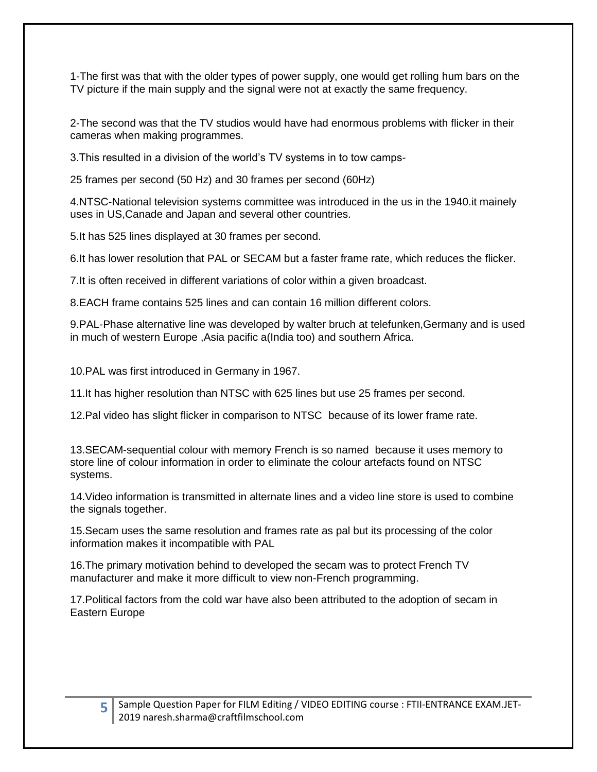1-The first was that with the older types of power supply, one would get rolling hum bars on the TV picture if the main supply and the signal were not at exactly the same frequency.

2-The second was that the TV studios would have had enormous problems with flicker in their cameras when making programmes.

3.This resulted in a division of the world's TV systems in to tow camps-

25 frames per second (50 Hz) and 30 frames per second (60Hz)

4.NTSC-National television systems committee was introduced in the us in the 1940.it mainely uses in US,Canade and Japan and several other countries.

5.It has 525 lines displayed at 30 frames per second.

6.It has lower resolution that PAL or SECAM but a faster frame rate, which reduces the flicker.

7.It is often received in different variations of color within a given broadcast.

8.EACH frame contains 525 lines and can contain 16 million different colors.

9.PAL-Phase alternative line was developed by walter bruch at telefunken,Germany and is used in much of western Europe ,Asia pacific a(India too) and southern Africa.

10.PAL was first introduced in Germany in 1967.

11.It has higher resolution than NTSC with 625 lines but use 25 frames per second.

12.Pal video has slight flicker in comparison to NTSC because of its lower frame rate.

13.SECAM-sequential colour with memory French is so named because it uses memory to store line of colour information in order to eliminate the colour artefacts found on NTSC systems.

14.Video information is transmitted in alternate lines and a video line store is used to combine the signals together.

15.Secam uses the same resolution and frames rate as pal but its processing of the color information makes it incompatible with PAL

16.The primary motivation behind to developed the secam was to protect French TV manufacturer and make it more difficult to view non-French programming.

17.Political factors from the cold war have also been attributed to the adoption of secam in Eastern Europe

**5**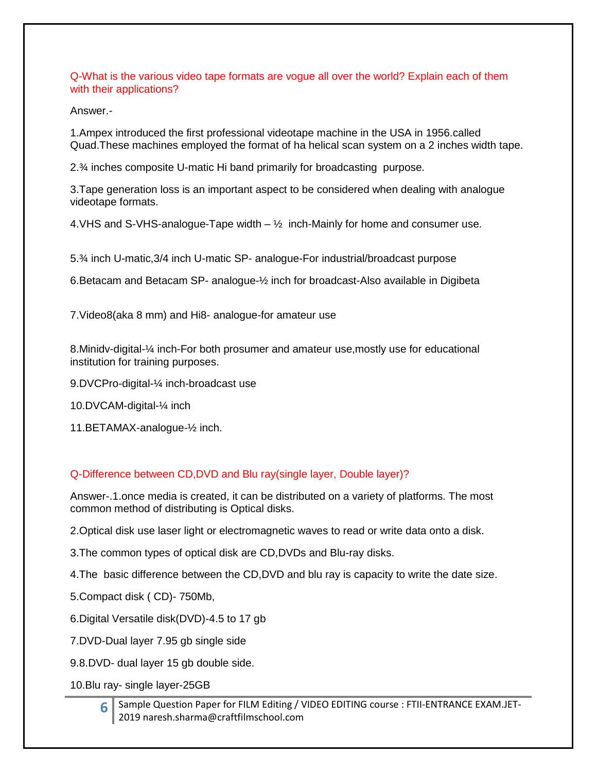Q-What is the various video tape formats are vogue all over the world? Explain each of them with their applications?

Answer.-

1.Ampex introduced the first professional videotape machine in the USA in 1956.called Quad.These machines employed the format of ha helical scan system on a 2 inches width tape.

2.¾ inches composite U-matic Hi band primarily for broadcasting purpose.

3.Tape generation loss is an important aspect to be considered when dealing with analogue videotape formats.

4. VHS and S-VHS-analogue-Tape width  $-$  1/2 inch-Mainly for home and consumer use.

5.¾ inch U-matic,3/4 inch U-matic SP- analogue-For industrial/broadcast purpose

6.Betacam and Betacam SP- analogue-½ inch for broadcast-Also available in Digibeta

7.Video8(aka 8 mm) and Hi8- analogue-for amateur use

8.Minidv-digital-¼ inch-For both prosumer and amateur use,mostly use for educational institution for training purposes.

9.DVCPro-digital-¼ inch-broadcast use

10.DVCAM-digital-¼ inch

11.BETAMAX-analogue-½ inch.

#### Q-Difference between CD,DVD and Blu ray(single layer, Double layer)?

Answer-.1.once media is created, it can be distributed on a variety of platforms. The most common method of distributing is Optical disks.

2.Optical disk use laser light or electromagnetic waves to read or write data onto a disk.

3.The common types of optical disk are CD,DVDs and Blu-ray disks.

4.The basic difference between the CD,DVD and blu ray is capacity to write the date size.

5.Compact disk ( CD)- 750Mb,

6.Digital Versatile disk(DVD)-4.5 to 17 gb

7.DVD-Dual layer 7.95 gb single side

9.8.DVD- dual layer 15 gb double side.

10.Blu ray- single layer-25GB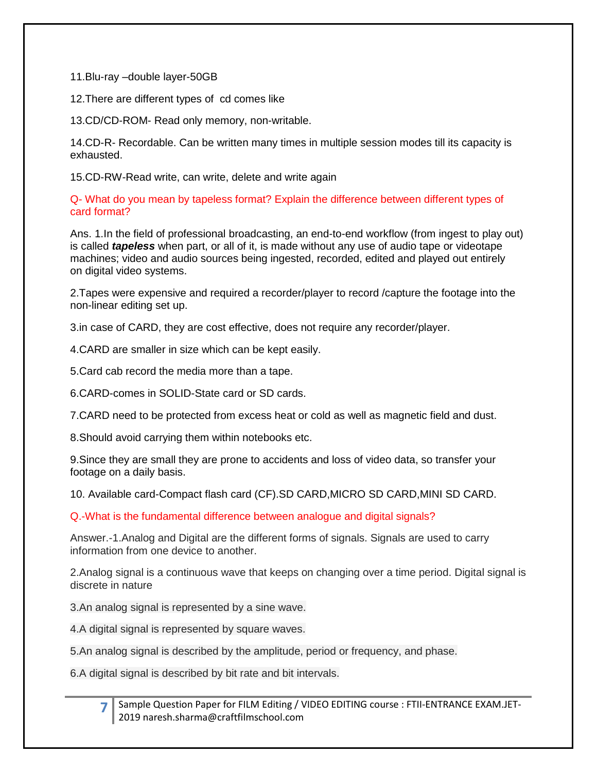11.Blu-ray –double layer-50GB

12.There are different types of cd comes like

13.CD/CD-ROM- Read only memory, non-writable.

14.CD-R- Recordable. Can be written many times in multiple session modes till its capacity is exhausted.

15.CD-RW-Read write, can write, delete and write again

Q- What do you mean by tapeless format? Explain the difference between different types of card format?

Ans. 1.In the field of professional broadcasting, an end-to-end workflow (from ingest to play out) is called *tapeless* when part, or all of it, is made without any use of audio tape or videotape machines; video and audio sources being ingested, recorded, edited and played out entirely on digital video systems.

2.Tapes were expensive and required a recorder/player to record /capture the footage into the non-linear editing set up.

3.in case of CARD, they are cost effective, does not require any recorder/player.

4.CARD are smaller in size which can be kept easily.

5.Card cab record the media more than a tape.

6.CARD-comes in SOLID-State card or SD cards.

7.CARD need to be protected from excess heat or cold as well as magnetic field and dust.

8.Should avoid carrying them within notebooks etc.

9.Since they are small they are prone to accidents and loss of video data, so transfer your footage on a daily basis.

10. Available card-Compact flash card (CF).SD CARD,MICRO SD CARD,MINI SD CARD.

Q.-What is the fundamental difference between analogue and digital signals?

Answer.-1.Analog and Digital are the different forms of signals. Signals are used to carry information from one device to another.

2.Analog signal is a continuous wave that keeps on changing over a time period. Digital signal is discrete in nature

3.An analog signal is represented by a sine wave.

4.A digital signal is represented by square waves.

5.An analog signal is described by the amplitude, period or frequency, and phase.

6.A digital signal is described by bit rate and bit intervals.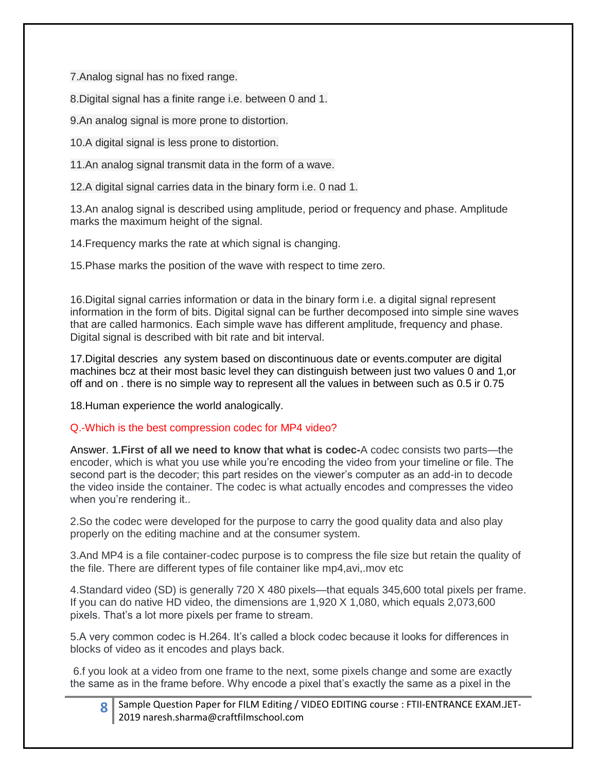7.Analog signal has no fixed range.

8.Digital signal has a finite range i.e. between 0 and 1.

9.An analog signal is more prone to distortion.

10.A digital signal is less prone to distortion.

11.An analog signal transmit data in the form of a wave.

12.A digital signal carries data in the binary form i.e. 0 nad 1.

13.An analog signal is described using amplitude, period or frequency and phase. Amplitude marks the maximum height of the signal.

14.Frequency marks the rate at which signal is changing.

15.Phase marks the position of the wave with respect to time zero.

16.Digital signal carries information or data in the binary form i.e. a digital signal represent information in the form of bits. Digital signal can be further decomposed into simple sine waves that are called harmonics. Each simple wave has different amplitude, frequency and phase. Digital signal is described with bit rate and bit interval.

17.Digital descries any system based on discontinuous date or events.computer are digital machines bcz at their most basic level they can distinguish between just two values 0 and 1,or off and on . there is no simple way to represent all the values in between such as 0.5 ir 0.75

18.Human experience the world analogically.

# Q.-Which is the best compression codec for MP4 video?

Answer. **1.First of all we need to know that what is codec-**A codec consists two parts—the encoder, which is what you use while you're encoding the video from your timeline or file. The second part is the decoder; this part resides on the viewer's computer as an add-in to decode the video inside the container. The codec is what actually encodes and compresses the video when you're rendering it..

2.So the codec were developed for the purpose to carry the good quality data and also play properly on the editing machine and at the consumer system.

3.And MP4 is a file container-codec purpose is to compress the file size but retain the quality of the file. There are different types of file container like mp4,avi,.mov etc

4.Standard video (SD) is generally 720 X 480 pixels—that equals 345,600 total pixels per frame. If you can do native HD video, the dimensions are 1,920 X 1,080, which equals 2,073,600 pixels. That's a lot more pixels per frame to stream.

5.A very common codec is H.264. It's called a block codec because it looks for differences in blocks of video as it encodes and plays back.

6.f you look at a video from one frame to the next, some pixels change and some are exactly the same as in the frame before. Why encode a pixel that's exactly the same as a pixel in the

|  | 8 Sample Question Paper for FILM Editing / VIDEO EDITING course : FTII-ENTRANCE EXAM.JET- |
|--|-------------------------------------------------------------------------------------------|
|  | 2019 naresh.sharma@craftfilmschool.com                                                    |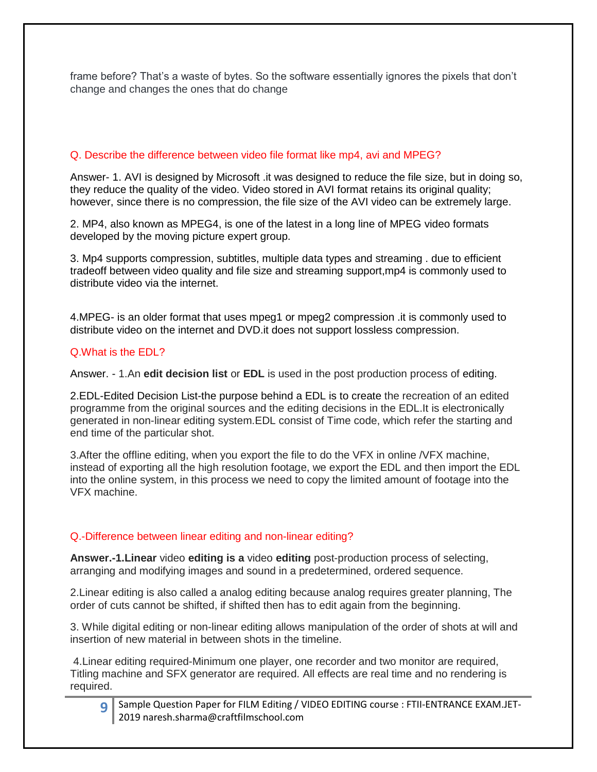frame before? That's a waste of bytes. So the software essentially ignores the pixels that don't change and changes the ones that do change

## Q. Describe the difference between video file format like mp4, avi and MPEG?

Answer- 1. AVI is designed by Microsoft .it was designed to reduce the file size, but in doing so, they reduce the quality of the video. Video stored in AVI format retains its original quality; however, since there is no compression, the file size of the AVI video can be extremely large.

2. MP4, also known as MPEG4, is one of the latest in a long line of MPEG video formats developed by the moving picture expert group.

3. Mp4 supports compression, subtitles, multiple data types and streaming . due to efficient tradeoff between video quality and file size and streaming support,mp4 is commonly used to distribute video via the internet.

4.MPEG- is an older format that uses mpeg1 or mpeg2 compression .it is commonly used to distribute video on the internet and DVD.it does not support lossless compression.

#### Q.What is the EDL?

Answer. - 1.An **edit decision list** or **EDL** is used in the post production process of editing.

2.EDL-Edited Decision List-the purpose behind a EDL is to create the recreation of an edited programme from the original sources and the editing decisions in the EDL.It is electronically generated in non-linear editing system.EDL consist of Time code, which refer the starting and end time of the particular shot.

3.After the offline editing, when you export the file to do the VFX in online /VFX machine, instead of exporting all the high resolution footage, we export the EDL and then import the EDL into the online system, in this process we need to copy the limited amount of footage into the VFX machine.

#### Q.-Difference between linear editing and non-linear editing?

**Answer.-1.Linear** video **editing is a** video **editing** post-production process of selecting, arranging and modifying images and sound in a predetermined, ordered sequence.

2.Linear editing is also called a analog editing because analog requires greater planning, The order of cuts cannot be shifted, if shifted then has to edit again from the beginning.

3. While digital editing or non-linear editing allows manipulation of the order of shots at will and insertion of new material in between shots in the timeline.

4.Linear editing required-Minimum one player, one recorder and two monitor are required, Titling machine and SFX generator are required. All effects are real time and no rendering is required.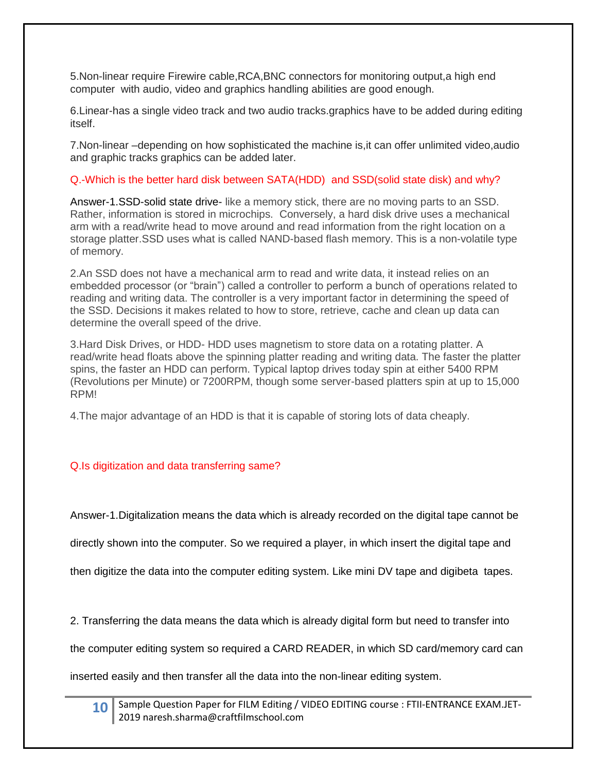5.Non-linear require Firewire cable,RCA,BNC connectors for monitoring output,a high end computer with audio, video and graphics handling abilities are good enough.

6.Linear-has a single video track and two audio tracks.graphics have to be added during editing itself.

7.Non-linear –depending on how sophisticated the machine is,it can offer unlimited video,audio and graphic tracks graphics can be added later.

# Q.-Which is the better hard disk between SATA(HDD) and SSD(solid state disk) and why?

Answer-1.SSD-solid state drive- like a memory stick, there are no moving parts to an SSD. Rather, information is stored in microchips. Conversely, a hard disk drive uses a mechanical arm with a read/write head to move around and read information from the right location on a storage platter.SSD uses what is called NAND-based flash memory. This is a non-volatile type of memory.

2.An SSD does not have a mechanical arm to read and write data, it instead relies on an embedded processor (or "brain") called a controller to perform a bunch of operations related to reading and writing data. The controller is a very important factor in determining the speed of the SSD. Decisions it makes related to how to store, retrieve, cache and clean up data can determine the overall speed of the drive.

3.Hard Disk Drives, or HDD- HDD uses magnetism to store data on a rotating platter. A read/write head floats above the spinning platter reading and writing data. The faster the platter spins, the faster an HDD can perform. Typical laptop drives today spin at either 5400 RPM (Revolutions per Minute) or 7200RPM, though some server-based platters spin at up to 15,000 RPM!

4.The major advantage of an HDD is that it is capable of storing lots of data cheaply.

# Q.Is digitization and data transferring same?

Answer-1.Digitalization means the data which is already recorded on the digital tape cannot be

directly shown into the computer. So we required a player, in which insert the digital tape and

then digitize the data into the computer editing system. Like mini DV tape and digibeta tapes.

2. Transferring the data means the data which is already digital form but need to transfer into

the computer editing system so required a CARD READER, in which SD card/memory card can

inserted easily and then transfer all the data into the non-linear editing system.